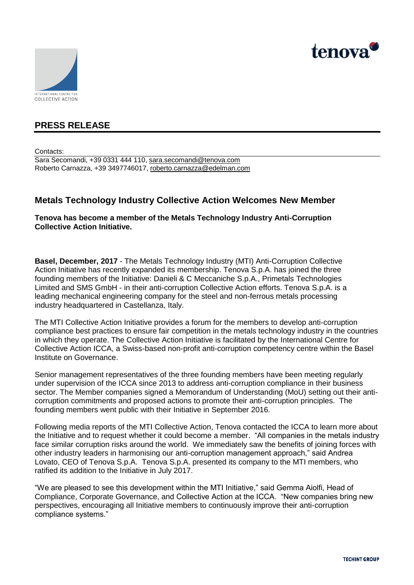



# **PRESS RELEASE**

Contacts:

Sara Secomandi, +39 0331 444 110, [sara.secomandi@tenova.com](mailto:sara.secomandi@tenova.com) Roberto Carnazza, +39 3497746017, [roberto.carnazza@edelman.com](mailto:roberto.carnazza@edelman.com)

# **Metals Technology Industry Collective Action Welcomes New Member**

**Tenova has become a member of the Metals Technology Industry Anti-Corruption Collective Action Initiative.**

**Basel, December, 2017** - The Metals Technology Industry (MTI) Anti-Corruption Collective Action Initiative has recently expanded its membership. Tenova S.p.A. has joined the three founding members of the Initiative: Danieli & C Meccaniche S.p.A., Primetals Technologies Limited and SMS GmbH - in their anti-corruption Collective Action efforts. Tenova S.p.A. is a leading mechanical engineering company for the steel and non-ferrous metals processing industry headquartered in Castellanza, Italy.

The MTI Collective Action Initiative provides a forum for the members to develop anti-corruption compliance best practices to ensure fair competition in the metals technology industry in the countries in which they operate. The Collective Action Initiative is facilitated by the International Centre for Collective Action ICCA, a Swiss-based non-profit anti-corruption competency centre within the Basel Institute on Governance.

Senior management representatives of the three founding members have been meeting regularly under supervision of the ICCA since 2013 to address anti-corruption compliance in their business sector. The Member companies signed a Memorandum of Understanding (MoU) setting out their anticorruption commitments and proposed actions to promote their anti-corruption principles. The founding members went public with their Initiative in September 2016.

Following media reports of the MTI Collective Action, Tenova contacted the ICCA to learn more about the Initiative and to request whether it could become a member. "All companies in the metals industry face similar corruption risks around the world. We immediately saw the benefits of joining forces with other industry leaders in harmonising our anti-corruption management approach," said Andrea Lovato, CEO of Tenova S.p.A. Tenova S.p.A. presented its company to the MTI members, who ratified its addition to the Initiative in July 2017.

"We are pleased to see this development within the MTI Initiative," said Gemma Aiolfi, Head of Compliance, Corporate Governance, and Collective Action at the ICCA. "New companies bring new perspectives, encouraging all Initiative members to continuously improve their anti-corruption compliance systems."